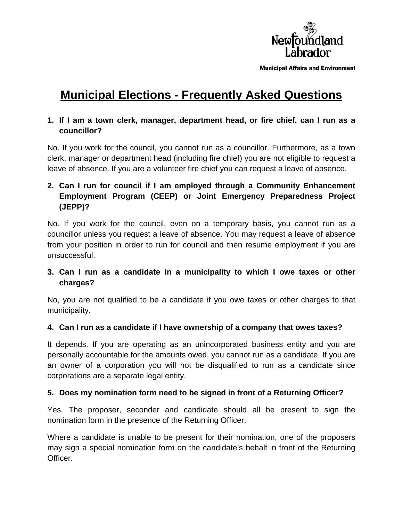

**Municipal Affairs and Environment** 

# **Municipal Elections - Frequently Asked Questions**

### **1. If I am a town clerk, manager, department head, or fire chief, can I run as a councillor?**

No. If you work for the council, you cannot run as a councillor. Furthermore, as a town clerk, manager or department head (including fire chief) you are not eligible to request a leave of absence. If you are a volunteer fire chief you can request a leave of absence.

# **2. Can I run for council if I am employed through a Community Enhancement Employment Program (CEEP) or Joint Emergency Preparedness Project (JEPP)?**

No. If you work for the council, even on a temporary basis, you cannot run as a councillor unless you request a leave of absence. You may request a leave of absence from your position in order to run for council and then resume employment if you are unsuccessful.

### **3. Can I run as a candidate in a municipality to which I owe taxes or other charges?**

No, you are not qualified to be a candidate if you owe taxes or other charges to that municipality.

#### **4. Can I run as a candidate if I have ownership of a company that owes taxes?**

It depends. If you are operating as an unincorporated business entity and you are personally accountable for the amounts owed, you cannot run as a candidate. If you are an owner of a corporation you will not be disqualified to run as a candidate since corporations are a separate legal entity.

#### **5. Does my nomination form need to be signed in front of a Returning Officer?**

Yes. The proposer, seconder and candidate should all be present to sign the nomination form in the presence of the Returning Officer.

Where a candidate is unable to be present for their nomination, one of the proposers may sign a special nomination form on the candidate's behalf in front of the Returning Officer.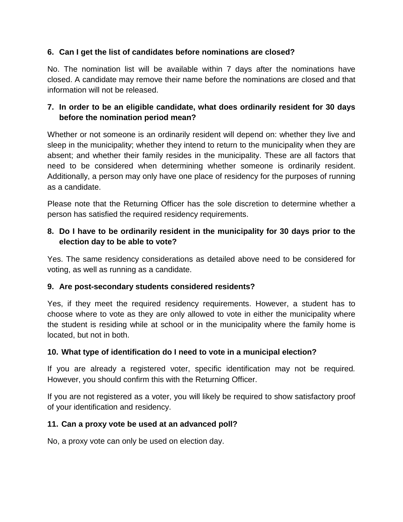## **6. Can I get the list of candidates before nominations are closed?**

No. The nomination list will be available within 7 days after the nominations have closed. A candidate may remove their name before the nominations are closed and that information will not be released.

## **7. In order to be an eligible candidate, what does ordinarily resident for 30 days before the nomination period mean?**

Whether or not someone is an ordinarily resident will depend on: whether they live and sleep in the municipality; whether they intend to return to the municipality when they are absent; and whether their family resides in the municipality. These are all factors that need to be considered when determining whether someone is ordinarily resident. Additionally, a person may only have one place of residency for the purposes of running as a candidate.

Please note that the Returning Officer has the sole discretion to determine whether a person has satisfied the required residency requirements.

## **8. Do I have to be ordinarily resident in the municipality for 30 days prior to the election day to be able to vote?**

Yes. The same residency considerations as detailed above need to be considered for voting, as well as running as a candidate.

### **9. Are post-secondary students considered residents?**

Yes, if they meet the required residency requirements. However, a student has to choose where to vote as they are only allowed to vote in either the municipality where the student is residing while at school or in the municipality where the family home is located, but not in both.

### **10. What type of identification do I need to vote in a municipal election?**

If you are already a registered voter, specific identification may not be required*.* However, you should confirm this with the Returning Officer.

If you are not registered as a voter, you will likely be required to show satisfactory proof of your identification and residency.

### **11. Can a proxy vote be used at an advanced poll?**

No, a proxy vote can only be used on election day.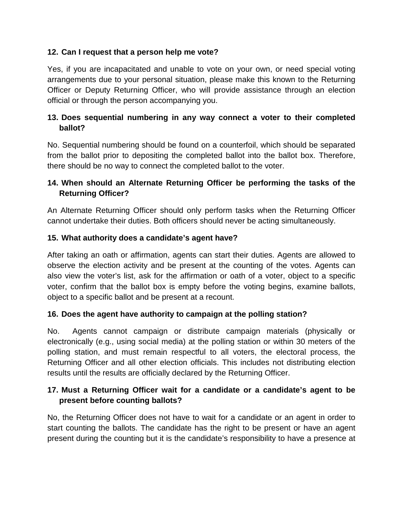### **12. Can I request that a person help me vote?**

Yes, if you are incapacitated and unable to vote on your own, or need special voting arrangements due to your personal situation, please make this known to the Returning Officer or Deputy Returning Officer, who will provide assistance through an election official or through the person accompanying you.

## **13. Does sequential numbering in any way connect a voter to their completed ballot?**

No. Sequential numbering should be found on a counterfoil, which should be separated from the ballot prior to depositing the completed ballot into the ballot box. Therefore, there should be no way to connect the completed ballot to the voter.

# **14. When should an Alternate Returning Officer be performing the tasks of the Returning Officer?**

An Alternate Returning Officer should only perform tasks when the Returning Officer cannot undertake their duties. Both officers should never be acting simultaneously.

### **15. What authority does a candidate's agent have?**

After taking an oath or affirmation, agents can start their duties. Agents are allowed to observe the election activity and be present at the counting of the votes. Agents can also view the voter's list, ask for the affirmation or oath of a voter, object to a specific voter, confirm that the ballot box is empty before the voting begins, examine ballots, object to a specific ballot and be present at a recount.

### **16. Does the agent have authority to campaign at the polling station?**

No. Agents cannot campaign or distribute campaign materials (physically or electronically (e.g., using social media) at the polling station or within 30 meters of the polling station, and must remain respectful to all voters, the electoral process, the Returning Officer and all other election officials. This includes not distributing election results until the results are officially declared by the Returning Officer.

# **17. Must a Returning Officer wait for a candidate or a candidate's agent to be present before counting ballots?**

No, the Returning Officer does not have to wait for a candidate or an agent in order to start counting the ballots. The candidate has the right to be present or have an agent present during the counting but it is the candidate's responsibility to have a presence at